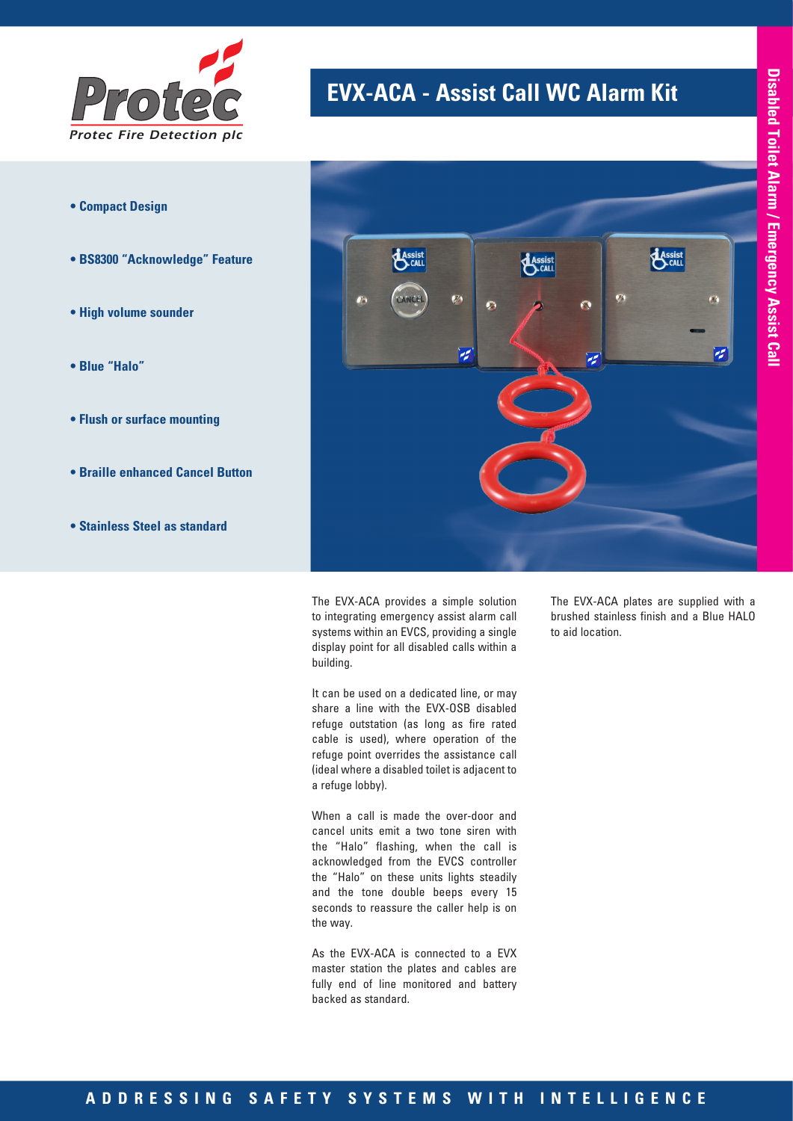

- **Compact Design**
- **BS8300 "Acknowledge" Feature**
- **High volume sounder**
- **Blue "Halo"**
- **Flush or surface mounting**
- **Braille enhanced Cancel Button**
- **Stainless Steel as standard**

# **EVX-ACA - Assist Call WC Alarm Kit**



The EVX-ACA provides a simple solution to integrating emergency assist alarm call systems within an EVCS, providing a single display point for all disabled calls within a building.

It can be used on a dedicated line, or may share a line with the EVX-OSB disabled refuge outstation (as long as fire rated cable is used), where operation of the refuge point overrides the assistance call (ideal where a disabled toilet is adjacent to a refuge lobby).

When a call is made the over-door and cancel units emit a two tone siren with the "Halo" flashing, when the call is acknowledged from the EVCS controller the "Halo" on these units lights steadily and the tone double beeps every 15 seconds to reassure the caller help is on the way.

As the EVX-ACA is connected to a EVX master station the plates and cables are fully end of line monitored and battery backed as standard.

The EVX-ACA plates are supplied with a brushed stainless finish and a Blue HALO to aid location.